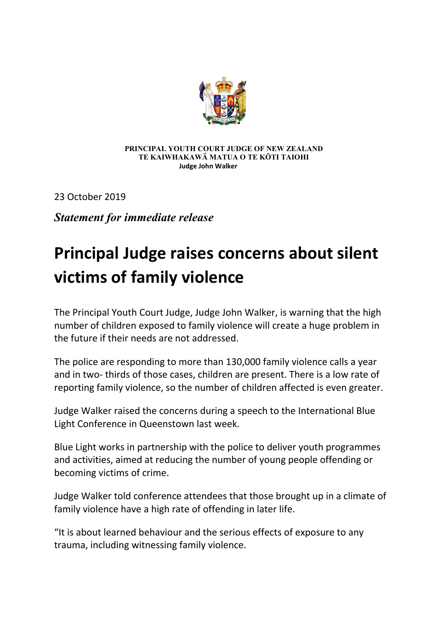

## **PRINCIPAL YOUTH COURT JUDGE OF NEW ZEALAND TE KAIWHAKAWĀ MATUA O TE KŌTI TAIOHI Judge John Walker**

23 October 2019

*Statement for immediate release*

## **Principal Judge raises concerns about silent victims of family violence**

The Principal Youth Court Judge, Judge John Walker, is warning that the high number of children exposed to family violence will create a huge problem in the future if their needs are not addressed.

The police are responding to more than 130,000 family violence calls a year and in two- thirds of those cases, children are present. There is a low rate of reporting family violence, so the number of children affected is even greater.

Judge Walker raised the concerns during a speech to the International Blue Light Conference in Queenstown last week.

Blue Light works in partnership with the police to deliver youth programmes and activities, aimed at reducing the number of young people offending or becoming victims of crime.

Judge Walker told conference attendees that those brought up in a climate of family violence have a high rate of offending in later life.

"It is about learned behaviour and the serious effects of exposure to any trauma, including witnessing family violence.